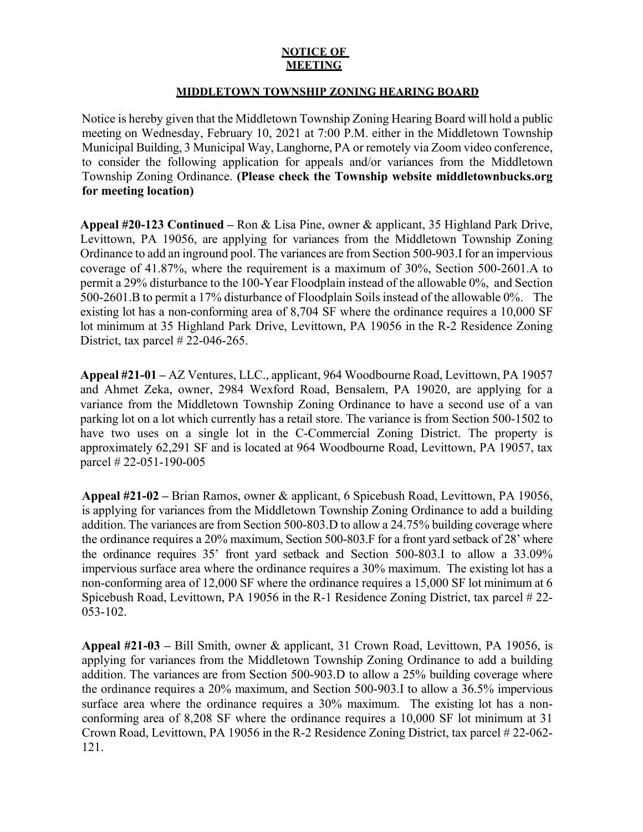## **NOTICE OF MEETING**

## **MIDDLETOWN TOWNSHIP ZONING HEARING BOARD**

Notice is hereby given that the Middletown Township Zoning Hearing Board will hold a public meeting on Wednesday, February 10, 2021 at 7:00 P.M. either in the Middletown Township Municipal Building, 3 Municipal Way, Langhorne, PA or remotely via Zoom video conference, to consider the following application for appeals and/or variances from the Middletown Township Zoning Ordinance. **(Please check the Township website middletownbucks.org for meeting location)** 

**Appeal #20-123 Continued –** Ron & Lisa Pine, owner & applicant, 35 Highland Park Drive, Levittown, PA 19056, are applying for variances from the Middletown Township Zoning Ordinance to add an inground pool. The variances are from Section 500-903.I for an impervious coverage of 41.87%, where the requirement is a maximum of 30%, Section 500-2601.A to permit a 29% disturbance to the 100-Year Floodplain instead of the allowable 0%, and Section 500-2601.B to permit a 17% disturbance of Floodplain Soils instead of the allowable 0%. The existing lot has a non-conforming area of 8,704 SF where the ordinance requires a 10,000 SF lot minimum at 35 Highland Park Drive, Levittown, PA 19056 in the R-2 Residence Zoning District, tax parcel # 22-046-265.

**Appeal #21-01 –** AZ Ventures, LLC., applicant, 964 Woodbourne Road, Levittown, PA 19057 and Ahmet Zeka, owner, 2984 Wexford Road, Bensalem, PA 19020, are applying for a variance from the Middletown Township Zoning Ordinance to have a second use of a van parking lot on a lot which currently has a retail store. The variance is from Section 500-1502 to have two uses on a single lot in the C-Commercial Zoning District. The property is approximately 62,291 SF and is located at 964 Woodbourne Road, Levittown, PA 19057, tax parcel # 22-051-190-005

**Appeal #21-02 –** Brian Ramos, owner & applicant, 6 Spicebush Road, Levittown, PA 19056, is applying for variances from the Middletown Township Zoning Ordinance to add a building addition. The variances are from Section 500-803.D to allow a 24.75% building coverage where the ordinance requires a 20% maximum, Section 500-803.F for a front yard setback of 28' where the ordinance requires 35' front yard setback and Section 500-803.I to allow a 33.09% impervious surface area where the ordinance requires a 30% maximum. The existing lot has a non-conforming area of 12,000 SF where the ordinance requires a 15,000 SF lot minimum at 6 Spicebush Road, Levittown, PA 19056 in the R-1 Residence Zoning District, tax parcel # 22- 053-102.

**Appeal #21-03 –** Bill Smith, owner & applicant, 31 Crown Road, Levittown, PA 19056, is applying for variances from the Middletown Township Zoning Ordinance to add a building addition. The variances are from Section 500-903.D to allow a 25% building coverage where the ordinance requires a 20% maximum, and Section 500-903.I to allow a 36.5% impervious surface area where the ordinance requires a 30% maximum. The existing lot has a nonconforming area of 8,208 SF where the ordinance requires a 10,000 SF lot minimum at 31 Crown Road, Levittown, PA 19056 in the R-2 Residence Zoning District, tax parcel # 22-062- 121.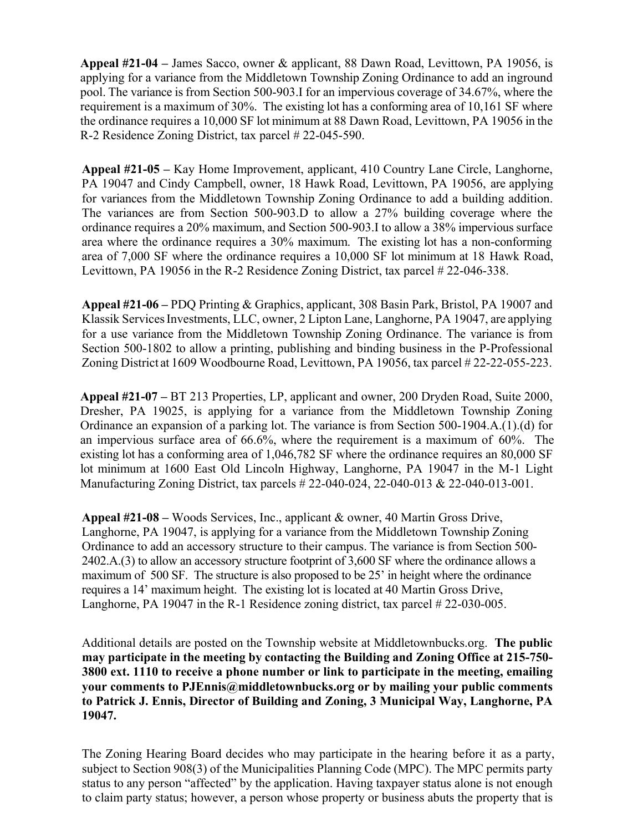**Appeal #21-04 –** James Sacco, owner & applicant, 88 Dawn Road, Levittown, PA 19056, is applying for a variance from the Middletown Township Zoning Ordinance to add an inground pool. The variance is from Section 500-903.I for an impervious coverage of 34.67%, where the requirement is a maximum of 30%. The existing lot has a conforming area of 10,161 SF where the ordinance requires a 10,000 SF lot minimum at 88 Dawn Road, Levittown, PA 19056 in the R-2 Residence Zoning District, tax parcel # 22-045-590.

**Appeal #21-05 –** Kay Home Improvement, applicant, 410 Country Lane Circle, Langhorne, PA 19047 and Cindy Campbell, owner, 18 Hawk Road, Levittown, PA 19056, are applying for variances from the Middletown Township Zoning Ordinance to add a building addition. The variances are from Section 500-903.D to allow a 27% building coverage where the ordinance requires a 20% maximum, and Section 500-903.I to allow a 38% impervious surface area where the ordinance requires a 30% maximum. The existing lot has a non-conforming area of 7,000 SF where the ordinance requires a 10,000 SF lot minimum at 18 Hawk Road, Levittown, PA 19056 in the R-2 Residence Zoning District, tax parcel # 22-046-338.

**Appeal #21-06 –** PDQ Printing & Graphics, applicant, 308 Basin Park, Bristol, PA 19007 and Klassik Services Investments, LLC, owner, 2 Lipton Lane, Langhorne, PA 19047, are applying for a use variance from the Middletown Township Zoning Ordinance. The variance is from Section 500-1802 to allow a printing, publishing and binding business in the P-Professional Zoning District at 1609 Woodbourne Road, Levittown, PA 19056, tax parcel # 22-22-055-223.

**Appeal #21-07 –** BT 213 Properties, LP, applicant and owner, 200 Dryden Road, Suite 2000, Dresher, PA 19025, is applying for a variance from the Middletown Township Zoning Ordinance an expansion of a parking lot. The variance is from Section 500-1904.A.(1).(d) for an impervious surface area of 66.6%, where the requirement is a maximum of 60%. The existing lot has a conforming area of 1,046,782 SF where the ordinance requires an 80,000 SF lot minimum at 1600 East Old Lincoln Highway, Langhorne, PA 19047 in the M-1 Light Manufacturing Zoning District, tax parcels # 22-040-024, 22-040-013 & 22-040-013-001.

**Appeal #21-08 –** Woods Services, Inc., applicant & owner, 40 Martin Gross Drive, Langhorne, PA 19047, is applying for a variance from the Middletown Township Zoning Ordinance to add an accessory structure to their campus. The variance is from Section 500- 2402.A.(3) to allow an accessory structure footprint of 3,600 SF where the ordinance allows a maximum of 500 SF. The structure is also proposed to be 25' in height where the ordinance requires a 14' maximum height. The existing lot is located at 40 Martin Gross Drive, Langhorne, PA 19047 in the R-1 Residence zoning district, tax parcel # 22-030-005.

Additional details are posted on the Township website at Middletownbucks.org. **The public may participate in the meeting by contacting the Building and Zoning Office at 215-750- 3800 ext. 1110 to receive a phone number or link to participate in the meeting, emailing your comments to PJEnnis@middletownbucks.org or by mailing your public comments to Patrick J. Ennis, Director of Building and Zoning, 3 Municipal Way, Langhorne, PA 19047.** 

The Zoning Hearing Board decides who may participate in the hearing before it as a party, subject to Section 908(3) of the Municipalities Planning Code (MPC). The MPC permits party status to any person "affected" by the application. Having taxpayer status alone is not enough to claim party status; however, a person whose property or business abuts the property that is